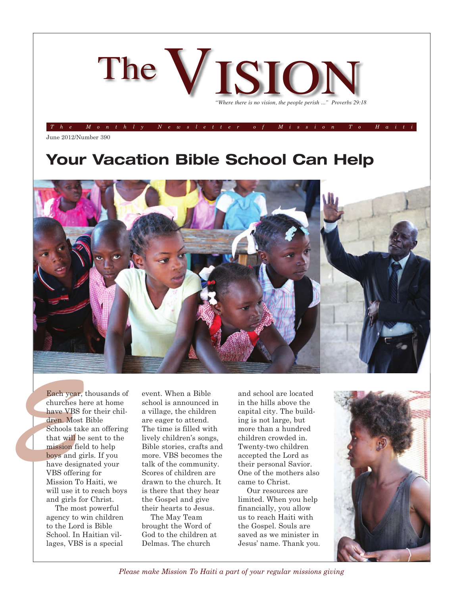

The Monthly Newsletter of Mission To Hait

June 2012/Number 390

## **Your Vacation Bible School Can Help**



Each year<br>
churches<br>
have VBS<br>
dren. Mos<br>
Schools ta<br>
that will l<br>
mission fi<br>
boys and<br>
have desig<br>
VBS offer<br>
Mission T Each year, thousands of churches here at home have VBS for their children. Most Bible Schools take an offering that will be sent to the mission field to help boys and girls. If you have designated your VBS offering for Mission To Haiti, we will use it to reach boys and girls for Christ.

> The most powerful agency to win children to the Lord is Bible School. In Haitian villages, VBS is a special

event. When a Bible school is announced in a village, the children are eager to attend. The time is filled with lively children's songs, Bible stories, crafts and more. VBS becomes the talk of the community. Scores of children are drawn to the church. It is there that they hear the Gospel and give their hearts to Jesus.

The May Team brought the Word of God to the children at Delmas. The church

and school are located in the hills above the capital city. The building is not large, but more than a hundred children crowded in. Twenty-two children accepted the Lord as their personal Savior. One of the mothers also came to Christ.

Our resources are limited. When you help financially, you allow us to reach Haiti with the Gospel. Souls are saved as we minister in Jesus' name. Thank you.



*Please make Mission To Haiti a part of your regular missions giving*